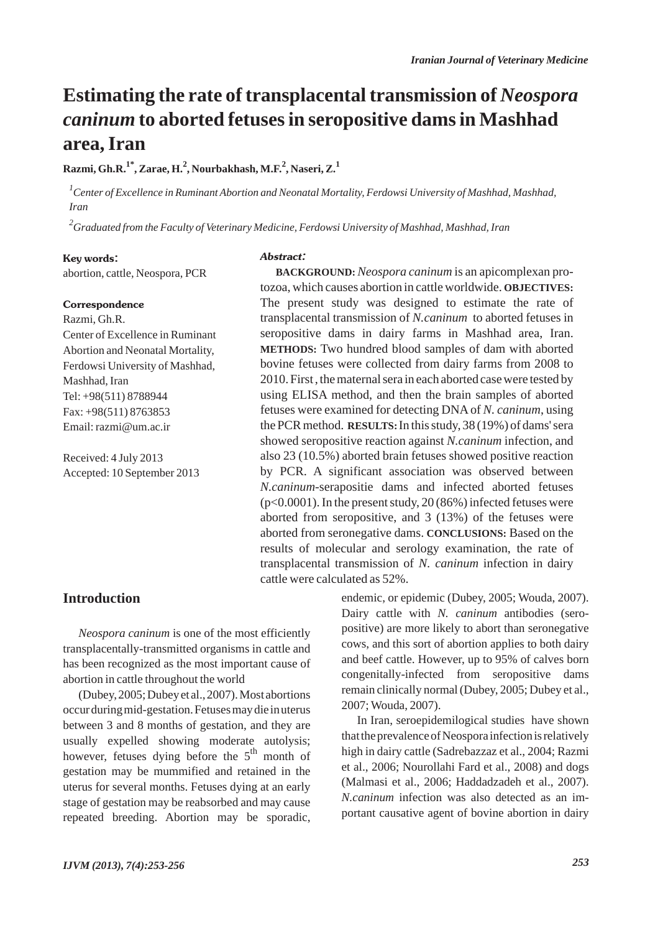# **Estimating the rate of transplacental transmission of** *Neospora caninum* **to aborted fetuses in seropositive dams in Mashhad area, Iran**

**Razmi, Gh.R.1\*, Zarae, H.2 , Nourbakhash, M.F.<sup>2</sup> , Naseri, Z.1**

*1 Center of Excellence in Ruminant Abortion and Neonatal Mortality, Ferdowsi University of Mashhad, Mashhad, Iran*

*2 Graduated from the Faculty of Veterinary Medicine, Ferdowsi University of Mashhad, Mashhad, Iran*

#### Key words:

abortion, cattle, Neospora, PCR

#### **Correspondence**

Razmi, Gh.R. Center of Excellence in Ruminant Abortion and Neonatal Mortality, Ferdowsi University of Mashhad, Mashhad, Iran Tel: +98(511) 8788944 Fax: +98(511) 8763853 Email: razmi@um.ac.ir

Received: 4 July 2013 Accepted: 10 September 2013

#### Abstract:

**BACKGROUND:** *Neospora caninum* is an apicomplexan protozoa, which causes abortion in cattle worldwide. **OBJECTIVES:** The present study was designed to estimate the rate of transplacental transmission of *N.caninum* to aborted fetuses in seropositive dams in dairy farms in Mashhad area, Iran. **METHODS:** Two hundred blood samples of dam with aborted bovine fetuses were collected from dairy farms from 2008 to 2010. First , the maternal sera in each aborted case were tested by using ELISA method, and then the brain samples of aborted fetuses were examined for detecting DNA of *N. caninum*, using the PCR method. **RESULTS:** In this study, 38 (19%) of dams' sera showed seropositive reaction against *N.caninum* infection, and also 23 (10.5%) aborted brain fetuses showed positive reaction by PCR. A significant association was observed between *N.caninum*-serapositie dams and infected aborted fetuses (p<0.0001). In the present study, 20 (86%) infected fetuses were aborted from seropositive, and 3 (13%) of the fetuses were aborted from seronegative dams. **CONCLUSIONS:** Based on the results of molecular and serology examination, the rate of transplacental transmission of *N. caninum* infection in dairy cattle were calculated as 52%.

## **Introduction**

*Neospora caninum* is one of the most efficiently transplacentally-transmitted organisms in cattle and has been recognized as the most important cause of abortion in cattle throughout the world

(Dubey, 2005; Dubey et al., 2007). Most abortions occur during mid-gestation. Fetuses may die in uterus between 3 and 8 months of gestation, and they are usually expelled showing moderate autolysis; however, fetuses dying before the  $5<sup>th</sup>$  month of gestation may be mummified and retained in the uterus for several months. Fetuses dying at an early stage of gestation may be reabsorbed and may cause repeated breeding. Abortion may be sporadic, endemic, or epidemic (Dubey, 2005; Wouda, 2007). Dairy cattle with *N. caninum* antibodies (seropositive) are more likely to abort than seronegative cows, and this sort of abortion applies to both dairy and beef cattle. However, up to 95% of calves born congenitally-infected from seropositive dams remain clinically normal (Dubey, 2005; Dubey et al., 2007; Wouda, 2007).

In Iran, seroepidemilogical studies have shown that the prevalence of Neospora infection is relatively high in dairy cattle (Sadrebazzaz et al., 2004; Razmi et al., 2006; Nourollahi Fard et al., 2008) and dogs (Malmasi et al., 2006; Haddadzadeh et al., 2007). *N.caninum* infection was also detected as an important causative agent of bovine abortion in dairy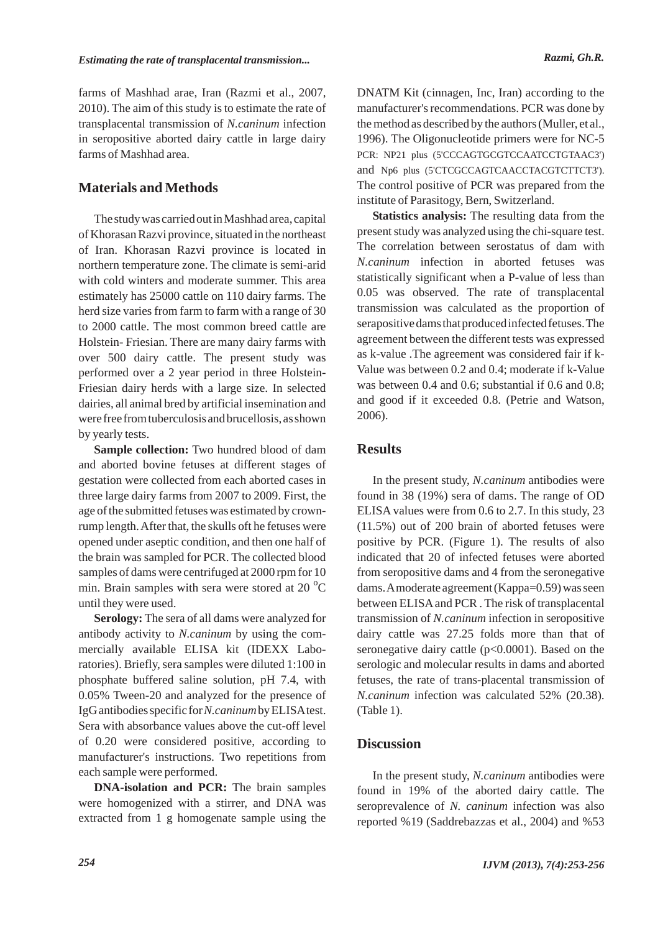farms of Mashhad arae, Iran (Razmi et al., 2007, 2010). The aim of this study is to estimate the rate of transplacental transmission of *N.caninum* infection in seropositive aborted dairy cattle in large dairy farms of Mashhad area.

# **Materials and Methods**

The study was carried out in Mashhad area, capital of Khorasan Razvi province, situated in the northeast of Iran. Khorasan Razvi province is located in northern temperature zone. The climate is semi-arid with cold winters and moderate summer. This area estimately has 25000 cattle on 110 dairy farms. The herd size varies from farm to farm with a range of 30 to 2000 cattle. The most common breed cattle are Holstein- Friesian. There are many dairy farms with over 500 dairy cattle. The present study was performed over a 2 year period in three Holstein-Friesian dairy herds with a large size. In selected dairies, all animal bred by artificial insemination and were free from tuberculosis and brucellosis, as shown by yearly tests.

**Sample collection:** Two hundred blood of dam and aborted bovine fetuses at different stages of gestation were collected from each aborted cases in three large dairy farms from 2007 to 2009. First, the age of the submitted fetuses was estimated by crownrump length. After that, the skulls oft he fetuses were opened under aseptic condition, and then one half of the brain was sampled for PCR. The collected blood samples of dams were centrifuged at 2000 rpm for 10 min. Brain samples with sera were stored at 20 $\mathrm{^oC}$ until they were used.

**Serology:** The sera of all dams were analyzed for antibody activity to *N.caninum* by using the commercially available ELISA kit (IDEXX Laboratories). Briefly, sera samples were diluted 1:100 in phosphate buffered saline solution, pH 7.4, with 0.05% Tween-20 and analyzed for the presence of IgG antibodies specific for *N.caninum*by ELISAtest. Sera with absorbance values above the cut-off level of 0.20 were considered positive, according to manufacturer's instructions. Two repetitions from each sample were performed.

**DNA-isolation and PCR:** The brain samples were homogenized with a stirrer, and DNA was extracted from 1 g homogenate sample using the DNATM Kit (cinnagen, Inc, Iran) according to the manufacturer's recommendations. PCR was done by the method as described by the authors (Muller, et al., 1996). The Oligonucleotide primers were for NC-5 PCR: NP21 plus (5'CCCAGTGCGTCCAATCCTGTAAC3') and Np6 plus (5'CTCGCCAGTCAACCTACGTCTTCT3'). The control positive of PCR was prepared from the institute of Parasitogy, Bern, Switzerland.

**Statistics analysis:** The resulting data from the present study was analyzed using the chi-square test. The correlation between serostatus of dam with *N.caninum* infection in aborted fetuses was statistically significant when a P-value of less than 0.05 was observed. The rate of transplacental transmission was calculated as the proportion of serapositive dams that produced infected fetuses. The agreement between the different tests was expressed as k-value .The agreement was considered fair if k-Value was between 0.2 and 0.4; moderate if k-Value was between 0.4 and 0.6; substantial if 0.6 and 0.8; and good if it exceeded 0.8. (Petrie and Watson, 2006).

### **Results**

In the present study, *N.caninum* antibodies were found in 38 (19%) sera of dams. The range of OD ELISA values were from 0.6 to 2.7. In this study, 23 (11.5%) out of 200 brain of aborted fetuses were positive by PCR. (Figure 1). The results of also indicated that 20 of infected fetuses were aborted from seropositive dams and 4 from the seronegative dams. Amoderate agreement (Kappa=0.59) was seen between ELISAand PCR . The risk of transplacental transmission of *N.caninum* infection in seropositive dairy cattle was 27.25 folds more than that of seronegative dairy cattle  $(p<0.0001)$ . Based on the serologic and molecular results in dams and aborted fetuses, the rate of trans-placental transmission of *N.caninum* infection was calculated 52% (20.38). (Table 1).

## **Discussion**

In the present study, *N.caninum* antibodies were found in 19% of the aborted dairy cattle. The seroprevalence of *N. caninum* infection was also reported %19 (Saddrebazzas et al., 2004) and %53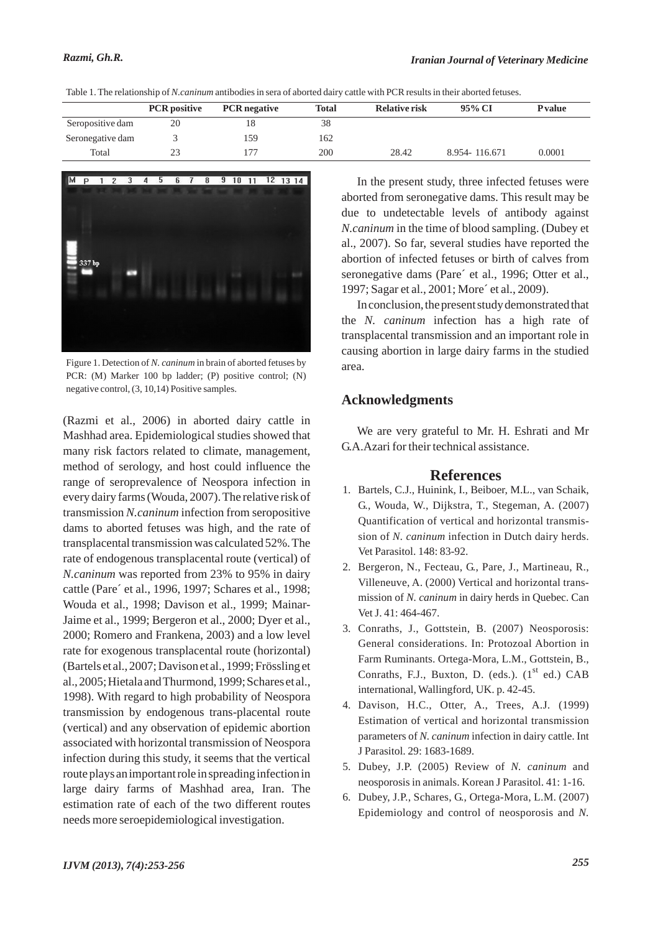|                  | <b>PCR</b> positive | <b>PCR</b> negative | <b>Total</b> | <b>Relative risk</b> | 95% CI        | <b>P</b> value |
|------------------|---------------------|---------------------|--------------|----------------------|---------------|----------------|
| Seropositive dam | 20                  |                     | 38           |                      |               |                |
| Seronegative dam |                     | 159                 | 162          |                      |               |                |
| Total            | 23                  |                     | 200          | 28.42                | 8.954-116.671 | 0.0001         |





Figure 1. Detection of *N. caninum* in brain of aborted fetuses by PCR: (M) Marker 100 bp ladder; (P) positive control; (N) negative control, (3, 10,14) Positive samples.

(Razmi et al., 2006) in aborted dairy cattle in Mashhad area. Epidemiological studies showed that many risk factors related to climate, management, method of serology, and host could influence the range of seroprevalence of Neospora infection in every dairy farms (Wouda, 2007). The relative risk of transmission *N.caninum* infection from seropositive dams to aborted fetuses was high, and the rate of transplacental transmission was calculated 52%. The rate of endogenous transplacental route (vertical) of *N.caninum* was reported from 23% to 95% in dairy cattle (Pare´ et al., 1996, 1997; Schares et al., 1998; Wouda et al., 1998; Davison et al., 1999; Mainar-Jaime et al., 1999; Bergeron et al., 2000; Dyer et al., 2000; Romero and Frankena, 2003) and a low level rate for exogenous transplacental route (horizontal) (Bartels et al., 2007; Davison et al., 1999; Frössling et al., 2005; Hietala and Thurmond, 1999; Schares et al., 1998). With regard to high probability of Neospora transmission by endogenous trans-placental route (vertical) and any observation of epidemic abortion associated with horizontal transmission of Neospora infection during this study, it seems that the vertical route plays an important role in spreading infection in large dairy farms of Mashhad area, Iran. The estimation rate of each of the two different routes needs more seroepidemiological investigation.

In the present study, three infected fetuses were aborted from seronegative dams. This result may be due to undetectable levels of antibody against *N.caninum* in the time of blood sampling. (Dubey et al., 2007). So far, several studies have reported the abortion of infected fetuses or birth of calves from seronegative dams (Pare´ et al., 1996; Otter et al., 1997; Sagar et al., 2001; More´ et al., 2009).

In conclusion, the present study demonstrated that the *N. caninum* infection has a high rate of transplacental transmission and an important role in causing abortion in large dairy farms in the studied area.

### **Acknowledgments**

We are very grateful to Mr. H. Eshrati and Mr G.A.Azari for their technical assistance.

#### **References**

- 1. Bartels, C.J., Huinink, I., Beiboer, M.L., van Schaik, G., Wouda, W., Dijkstra, T., Stegeman, A. (2007) Quantification of vertical and horizontal transmission of *N. caninum* infection in Dutch dairy herds. Vet Parasitol. 148: 83-92.
- 2. Bergeron, N., Fecteau, G., Pare, J., Martineau, R., Villeneuve, A. (2000) Vertical and horizontal transmission of *N. caninum* in dairy herds in Quebec. Can Vet J. 41: 464-467.
- Conraths, J., Gottstein, B. (2007) Neosporosis: 3. General considerations. In: Protozoal Abortion in Farm Ruminants. Ortega-Mora, L.M., Gottstein, B., Conraths, F.J., Buxton, D. (eds.).  $(1<sup>st</sup>$  ed.) CAB international, Wallingford, UK. p. 42-45.
- Davison, H.C., Otter, A., Trees, A.J. (1999) 4. Estimation of vertical and horizontal transmission parameters of *N. caninum* infection in dairy cattle. Int J Parasitol. 29: 1683-1689.
- 5. Dubey, J.P. (2005) Review of *N. caninum* and neosporosis in animals. Korean J Parasitol. 41: 1-16.
- 6. Dubey, J.P., Schares, G., Ortega-Mora, L.M. (2007) Epidemiology and control of neosporosis and *N.*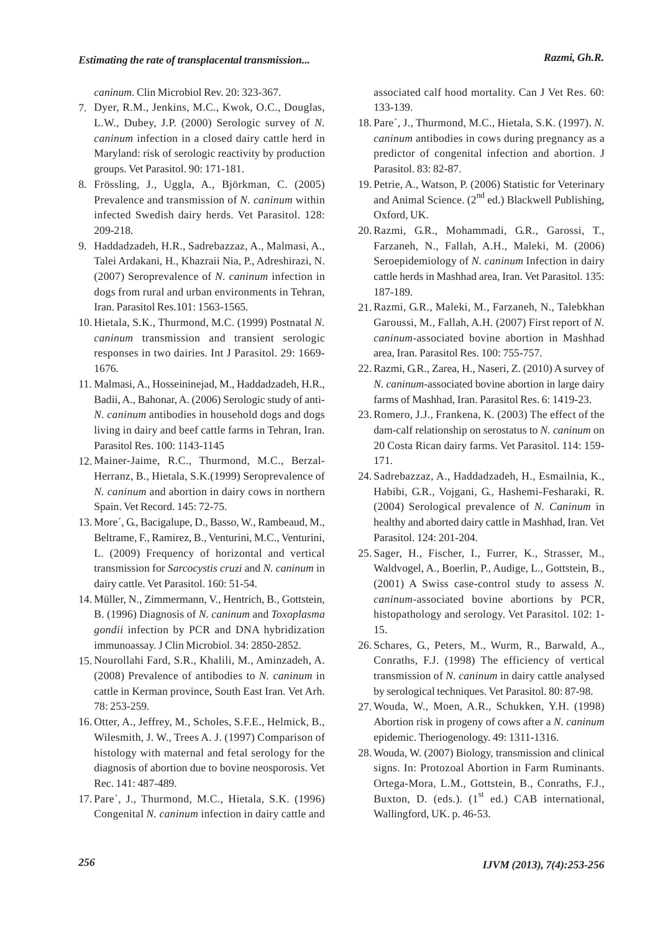*caninum*. Clin Microbiol Rev. 20: 323-367.

- Dyer, R.M., Jenkins, M.C., Kwok, O.C., Douglas, 7. L.W., Dubey, J.P. (2000) Serologic survey of *N. caninum* infection in a closed dairy cattle herd in Maryland: risk of serologic reactivity by production groups. Vet Parasitol. 90: 171-181.
- Frössling, J., Uggla, A., Björkman, C. (2005) 8. Prevalence and transmission of *N. caninum* within infected Swedish dairy herds. Vet Parasitol. 128: 209-218.
- Haddadzadeh, H.R., Sadrebazzaz, A., Malmasi, A., 9. Talei Ardakani, H., Khazraii Nia, P., Adreshirazi, N. (2007) Seroprevalence of *N. caninum* infection in dogs from rural and urban environments in Tehran, Iran. Parasitol Res.101: 1563-1565.
- 10. Hietala, S.K., Thurmond, M.C. (1999) Postnatal N. *caninum* transmission and transient serologic responses in two dairies. Int J Parasitol. 29: 1669- 1676.
- 11. Malmasi, A., Hosseininejad, M., Haddadzadeh, H.R., Badii, A., Bahonar, A. (2006) Serologic study of anti-*N. caninum* antibodies in household dogs and dogs living in dairy and beef cattle farms in Tehran, Iran. Parasitol Res. 100: 1143-1145
- 12. Mainer-Jaime, R.C., Thurmond, M.C., Berzal-Herranz, B., Hietala, S.K.(1999) Seroprevalence of *N. caninum* and abortion in dairy cows in northern Spain. Vet Record. 145: 72-75.
- 13. More´, G., Bacigalupe, D., Basso, W., Rambeaud, M., Beltrame, F., Ramirez, B., Venturini, M.C., Venturini, L. (2009) Frequency of horizontal and vertical transmission for *Sarcocystis cruzi* and *N. caninum* in dairy cattle. Vet Parasitol. 160: 51-54.
- Müller, N., Zimmermann, V., Hentrich, B., Gottstein, 14. B. (1996) Diagnosis of *N. caninum* and *Toxoplasma gondii* infection by PCR and DNA hybridization immunoassay. J Clin Microbiol. 34: 2850-2852.
- 15. Nourollahi Fard, S.R., Khalili, M., Aminzadeh, A. (2008) Prevalence of antibodies to *N. caninum* in cattle in Kerman province, South East Iran. Vet Arh. 78: 253-259.
- 16. Otter, A., Jeffrey, M., Scholes, S.F.E., Helmick, B., Wilesmith, J. W., Trees A. J. (1997) Comparison of histology with maternal and fetal serology for the diagnosis of abortion due to bovine neosporosis. Vet Rec. 141: 487-489.
- 17. Pare´, J., Thurmond, M.C., Hietala, S.K. (1996) Congenital *N. caninum* infection in dairy cattle and

associated calf hood mortality. Can J Vet Res. 60: 133-139.

- 18. Pare´, J., Thurmond, M.C., Hietala, S.K. (1997). N. *caninum* antibodies in cows during pregnancy as a predictor of congenital infection and abortion. J Parasitol. 83: 82-87.
- 19. Petrie, A., Watson, P. (2006) Statistic for Veterinary and Animal Science.  $(2^{nd}$  ed.) Blackwell Publishing, Oxford, UK.
- Razmi, G.R., Mohammadi, G.R., Garossi, T., 20. Farzaneh, N., Fallah, A.H., Maleki, M. (2006) Seroepidemiology of *N. caninum* Infection in dairy cattle herds in Mashhad area, Iran. Vet Parasitol. 135: 187-189.
- 21. Razmi, G.R., Maleki, M., Farzaneh, N., Talebkhan Garoussi, M., Fallah, A.H. (2007) First report of *N. caninum*-associated bovine abortion in Mashhad area, Iran. Parasitol Res. 100: 755-757.
- 22. Razmi, G.R., Zarea, H., Naseri, Z. (2010) A survey of *N. caninum*-associated bovine abortion in large dairy farms of Mashhad, Iran. Parasitol Res. 6: 1419-23.
- 23. Romero, J.J., Frankena, K. (2003) The effect of the dam-calf relationship on serostatus to *N. caninum* on 20 Costa Rican dairy farms. Vet Parasitol. 114: 159- 171.
- 24. Sadrebazzaz, A., Haddadzadeh, H., Esmailnia, K., Habibi, G.R., Vojgani, G., Hashemi-Fesharaki, R. (2004) Serological prevalence of *N. Caninum* in healthy and aborted dairy cattle in Mashhad, Iran. Vet Parasitol. 124: 201-204.
- 25. Sager, H., Fischer, I., Furrer, K., Strasser, M., Waldvogel, A., Boerlin, P., Audige, L., Gottstein, B., (2001) A Swiss case-control study to assess *N. caninum*-associated bovine abortions by PCR, histopathology and serology. Vet Parasitol. 102: 1- 15.
- 26. Schares, G., Peters, M., Wurm, R., Barwald, A., Conraths, F.J. (1998) The efficiency of vertical transmission of *N. caninum* in dairy cattle analysed by serological techniques. Vet Parasitol. 80: 87-98.
- 27. Wouda, W., Moen, A.R., Schukken, Y.H. (1998) Abortion risk in progeny of cows after a *N. caninum* epidemic. Theriogenology. 49: 1311-1316.
- 28. Wouda, W. (2007) Biology, transmission and clinical signs. In: Protozoal Abortion in Farm Ruminants. Ortega-Mora, L.M., Gottstein, B., Conraths, F.J., Buxton, D. (eds.).  $(1<sup>st</sup> ed.)$  CAB international, Wallingford, UK. p. 46-53.